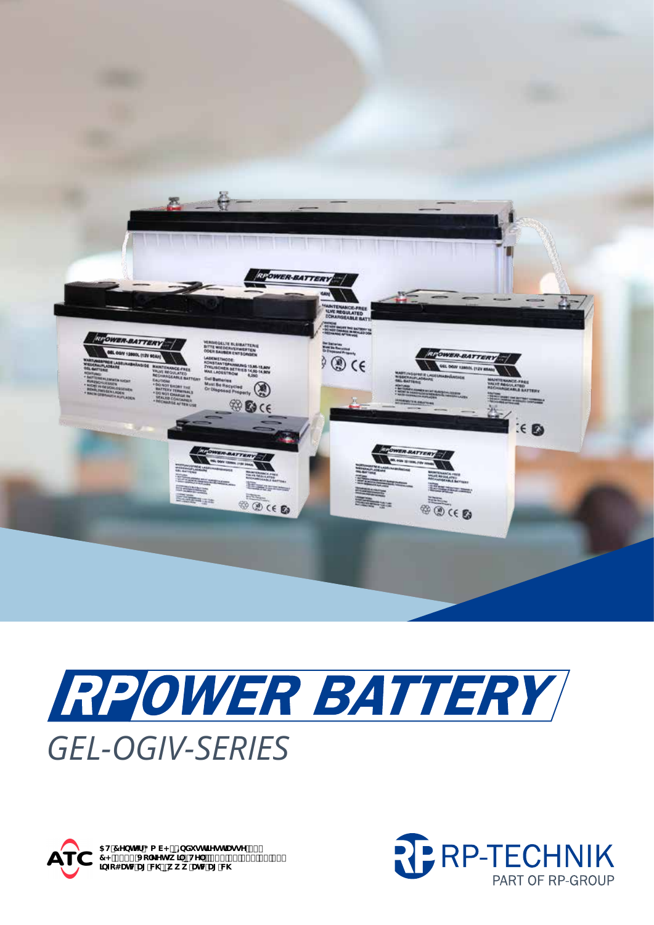

## RPOWER BATTERY **GEL-OGIV-SERIES**



5H7YbhYf; a V< p=bXighflYghfUggY`&,<br>7<!, \*\$(`Jc`\_Yhgk]`pHY'''.'Ž(%\*&', , +'' \$`, \$`<br>]bZc4UhWU['VX'pk k k 'UhWU['VX